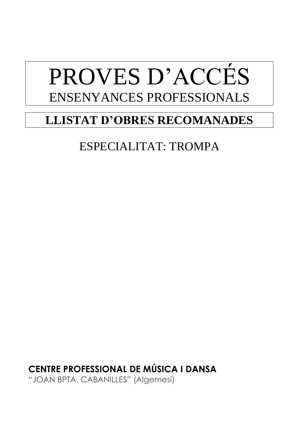# **LLISTAT D'OBRES RECOMANADES**

## ESPECIALITAT: TROMPA

**CENTRE PROFESSIONAL DE MÚSICA I DANSA** "JOAN BPTA. CABANILLES" (Algemesí)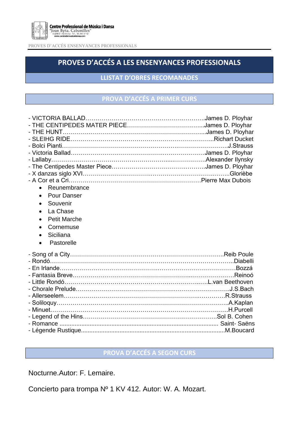

## **PROVES D'ACCÉS A LES ENSENYANCES PROFESSIONALS**

**LLISTAT D'OBRES RECOMANADES**

#### **PROVA D'ACCÉS A PRIMER CURS**

| - Bolci Pianti…………………………………………………………………………………J.Strauss |  |
|--------------------------------------------------------|--|
|                                                        |  |
|                                                        |  |
|                                                        |  |
|                                                        |  |
|                                                        |  |
| Reunembrance                                           |  |
| <b>Pour Danser</b><br>$\bullet$                        |  |
| Souvenir<br>$\bullet$                                  |  |
| La Chase<br>$\bullet$                                  |  |
| <b>Petit Marche</b><br>$\bullet$                       |  |
| Cornemuse<br>$\bullet$                                 |  |
| Siciliana<br>$\bullet$                                 |  |
| Pastorelle<br>$\bullet$                                |  |
|                                                        |  |
|                                                        |  |
| - Rondó…………………………………………………………………………………Diabelli         |  |
| - En Irlande……………………………………………………………………………………Bozzá      |  |
|                                                        |  |
|                                                        |  |
|                                                        |  |
|                                                        |  |
|                                                        |  |
|                                                        |  |
|                                                        |  |
|                                                        |  |
|                                                        |  |

### **PROVA D'ACCÉS A SEGON CURS**

Nocturne.Autor: F. Lemaire.

Concierto para trompa Nº 1 KV 412. Autor: W. A. Mozart.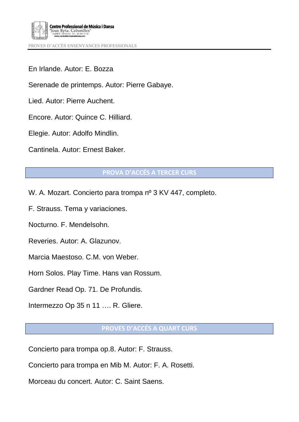

En Irlande. Autor: E. Bozza

Serenade de printemps. Autor: Pierre Gabaye.

Lied. Autor: Pierre Auchent.

Encore. Autor: Quince C. Hilliard.

Elegie. Autor: Adolfo Mindlin.

Cantinela. Autor: Ernest Baker.

#### **PROVA D'ACCÉS A TERCER CURS**

W. A. Mozart. Concierto para trompa nº 3 KV 447, completo.

F. Strauss. Tema y variaciones.

Nocturno. F. Mendelsohn.

Reveries. Autor: A. Glazunov.

Marcia Maestoso. C.M. von Weber.

Horn Solos. Play Time. Hans van Rossum.

Gardner Read Op. 71. De Profundis.

Intermezzo Op 35 n 11 …. R. Gliere.

#### **PROVES D'ACCÉS A QUART CURS**

Concierto para trompa op.8. Autor: F. Strauss.

Concierto para trompa en Mib M. Autor: F. A. Rosetti.

Morceau du concert. Autor: C. Saint Saens.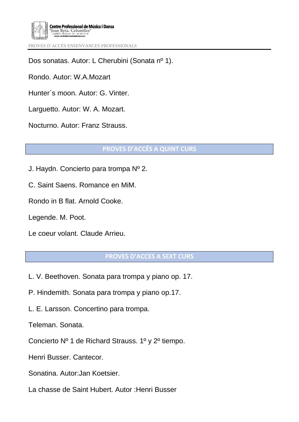

Dos sonatas. Autor: L Cherubini (Sonata nº 1).

Rondo. Autor: W.A.Mozart

Hunter´s moon. Autor: G. Vinter.

Larguetto. Autor: W. A. Mozart.

Nocturno. Autor: Franz Strauss.

**PROVES D'ACCÉS A QUINT CURS**

J. Haydn. Concierto para trompa Nº 2.

C. Saint Saens. Romance en MiM.

Rondo in B flat. Arnold Cooke.

Legende. M. Poot.

Le coeur volant. Claude Arrieu.

#### **PROVES D'ACCES A SEXT CURS**

- L. V. Beethoven. Sonata para trompa y piano op. 17.
- P. Hindemith. Sonata para trompa y piano op.17.
- L. E. Larsson. Concertino para trompa.

Teleman. Sonata.

Concierto Nº 1 de Richard Strauss. 1º y 2º tiempo.

Henri Busser. Cantecor.

Sonatina. Autor:Jan Koetsier.

La chasse de Saint Hubert. Autor :Henri Busser